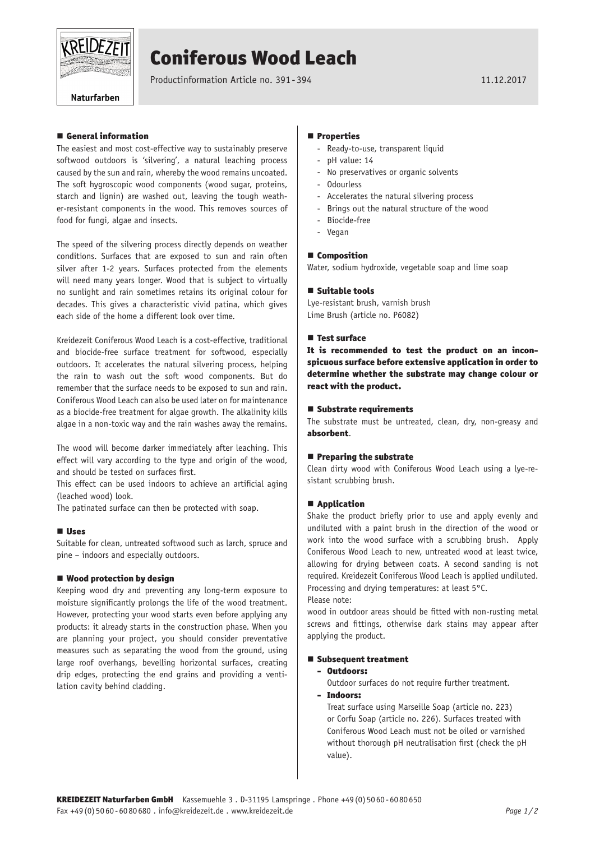

# Coniferous Wood Leach

Productinformation Article no. 391-394 11.12.2017

Naturfarben

# ■ General information

The easiest and most cost-effective way to sustainably preserve softwood outdoors is 'silvering', a natural leaching process caused by the sun and rain, whereby the wood remains uncoated. The soft hygroscopic wood components (wood sugar, proteins, starch and lignin) are washed out, leaving the tough weather-resistant components in the wood. This removes sources of food for fungi, algae and insects.

The speed of the silvering process directly depends on weather conditions. Surfaces that are exposed to sun and rain often silver after 1-2 years. Surfaces protected from the elements will need many years longer. Wood that is subject to virtually no sunlight and rain sometimes retains its original colour for decades. This gives a characteristic vivid patina, which gives each side of the home a different look over time.

Kreidezeit Coniferous Wood Leach is a cost-effective, traditional and biocide-free surface treatment for softwood, especially outdoors. It accelerates the natural silvering process, helping the rain to wash out the soft wood components. But do remember that the surface needs to be exposed to sun and rain. Coniferous Wood Leach can also be used later on for maintenance as a biocide-free treatment for algae growth. The alkalinity kills algae in a non-toxic way and the rain washes away the remains.

The wood will become darker immediately after leaching. This effect will vary according to the type and origin of the wood, and should be tested on surfaces first.

This effect can be used indoors to achieve an artificial aging (leached wood) look.

The patinated surface can then be protected with soap.

### **Uses**

Suitable for clean, untreated softwood such as larch, spruce and pine – indoors and especially outdoors.

### ■ Wood protection by design

Keeping wood dry and preventing any long-term exposure to moisture significantly prolongs the life of the wood treatment. However, protecting your wood starts even before applying any products: it already starts in the construction phase. When you are planning your project, you should consider preventative measures such as separating the wood from the ground, using large roof overhangs, bevelling horizontal surfaces, creating drip edges, protecting the end grains and providing a ventilation cavity behind cladding.

### **Properties**

- Ready-to-use, transparent liquid
- pH value: 14
- No preservatives or organic solvents
- Odourless
- Accelerates the natural silvering process
- Brings out the natural structure of the wood
- Biocide-free
- Vegan

#### ■ Composition

Water, sodium hydroxide, vegetable soap and lime soap

#### $\blacksquare$  Suitable tools

Lye-resistant brush, varnish brush Lime Brush (article no. P6082)

#### **Test surface**

It is recommended to test the product on an inconspicuous surface before extensive application in order to determine whether the substrate may change colour or react with the product.

#### ■ Substrate requirements

The substrate must be untreated, clean, dry, non-greasy and absorbent.

#### $\blacksquare$  Preparing the substrate

Clean dirty wood with Coniferous Wood Leach using a lye-resistant scrubbing brush.

# ■ Application

Shake the product briefly prior to use and apply evenly and undiluted with a paint brush in the direction of the wood or work into the wood surface with a scrubbing brush. Apply Coniferous Wood Leach to new, untreated wood at least twice, allowing for drying between coats. A second sanding is not required. Kreidezeit Coniferous Wood Leach is applied undiluted. Processing and drying temperatures: at least 5°C.

Please note:

wood in outdoor areas should be fitted with non-rusting metal screws and fittings, otherwise dark stains may appear after applying the product.

#### ■ Subsequent treatment

# - Outdoors:

- Outdoor surfaces do not require further treatment.
- Indoors:

Treat surface using Marseille Soap (article no. 223) or Corfu Soap (article no. 226). Surfaces treated with Coniferous Wood Leach must not be oiled or varnished without thorough pH neutralisation first (check the pH value).